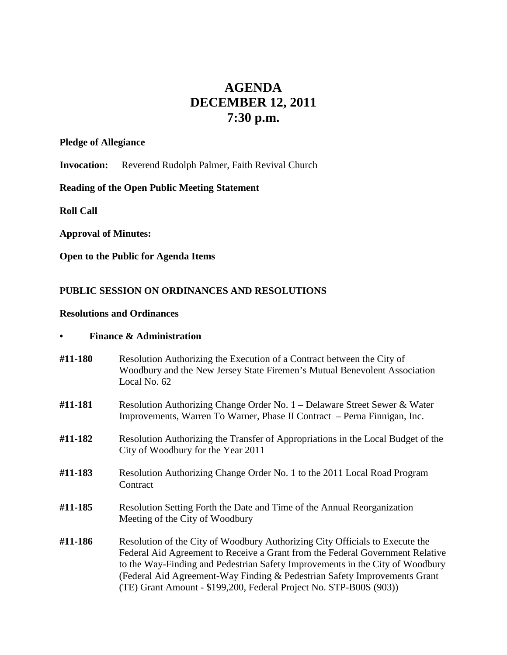# **AGENDA DECEMBER 12, 2011 7:30 p.m.**

#### **Pledge of Allegiance**

**Invocation:** Reverend Rudolph Palmer, Faith Revival Church

# **Reading of the Open Public Meeting Statement**

**Roll Call**

## **Approval of Minutes:**

**Open to the Public for Agenda Items**

# **PUBLIC SESSION ON ORDINANCES AND RESOLUTIONS**

### **Resolutions and Ordinances**

#### **• Finance & Administration**

- **#11-180** Resolution Authorizing the Execution of a Contract between the City of Woodbury and the New Jersey State Firemen's Mutual Benevolent Association Local No. 62
- **#11-181** Resolution Authorizing Change Order No. 1 Delaware Street Sewer & Water Improvements, Warren To Warner, Phase II Contract – Perna Finnigan, Inc.
- **#11-182** Resolution Authorizing the Transfer of Appropriations in the Local Budget of the City of Woodbury for the Year 2011
- **#11-183** Resolution Authorizing Change Order No. 1 to the 2011 Local Road Program **Contract**
- **#11-185** Resolution Setting Forth the Date and Time of the Annual Reorganization Meeting of the City of Woodbury
- **#11-186** Resolution of the City of Woodbury Authorizing City Officials to Execute the Federal Aid Agreement to Receive a Grant from the Federal Government Relative to the Way-Finding and Pedestrian Safety Improvements in the City of Woodbury (Federal Aid Agreement-Way Finding & Pedestrian Safety Improvements Grant (TE) Grant Amount - \$199,200, Federal Project No. STP-B00S (903))